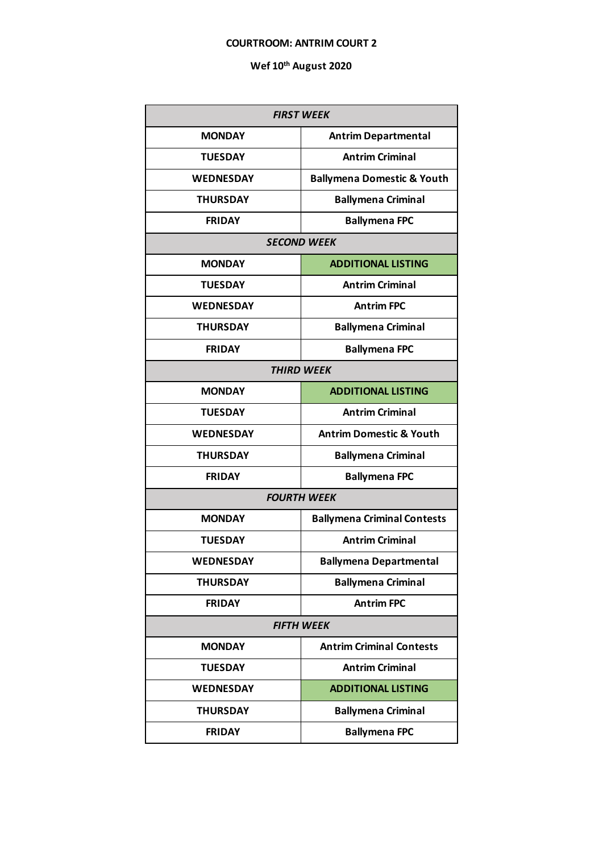#### **COURTROOM: ANTRIM COURT 2**

| <b>FIRST WEEK</b>  |                                       |  |  |
|--------------------|---------------------------------------|--|--|
| <b>MONDAY</b>      | <b>Antrim Departmental</b>            |  |  |
| <b>TUESDAY</b>     | <b>Antrim Criminal</b>                |  |  |
| <b>WEDNESDAY</b>   | <b>Ballymena Domestic &amp; Youth</b> |  |  |
| <b>THURSDAY</b>    | <b>Ballymena Criminal</b>             |  |  |
| <b>FRIDAY</b>      | <b>Ballymena FPC</b>                  |  |  |
| <b>SECOND WEEK</b> |                                       |  |  |
| <b>MONDAY</b>      | <b>ADDITIONAL LISTING</b>             |  |  |
| <b>TUESDAY</b>     | <b>Antrim Criminal</b>                |  |  |
| <b>WEDNESDAY</b>   | <b>Antrim FPC</b>                     |  |  |
| <b>THURSDAY</b>    | <b>Ballymena Criminal</b>             |  |  |
| <b>FRIDAY</b>      | <b>Ballymena FPC</b>                  |  |  |
|                    | <b>THIRD WEEK</b>                     |  |  |
| <b>MONDAY</b>      | <b>ADDITIONAL LISTING</b>             |  |  |
| <b>TUESDAY</b>     | <b>Antrim Criminal</b>                |  |  |
| <b>WEDNESDAY</b>   | <b>Antrim Domestic &amp; Youth</b>    |  |  |
| <b>THURSDAY</b>    | <b>Ballymena Criminal</b>             |  |  |
| <b>FRIDAY</b>      | <b>Ballymena FPC</b>                  |  |  |
|                    | <b>FOURTH WEEK</b>                    |  |  |
| <b>MONDAY</b>      | <b>Ballymena Criminal Contests</b>    |  |  |
| <b>TUESDAY</b>     | <b>Antrim Criminal</b>                |  |  |
| <b>WEDNESDAY</b>   | <b>Ballymena Departmental</b>         |  |  |
| <b>THURSDAY</b>    | <b>Ballymena Criminal</b>             |  |  |
| <b>FRIDAY</b>      | <b>Antrim FPC</b>                     |  |  |
| <b>FIFTH WEEK</b>  |                                       |  |  |
| <b>MONDAY</b>      | <b>Antrim Criminal Contests</b>       |  |  |
| <b>TUESDAY</b>     | <b>Antrim Criminal</b>                |  |  |
| <b>WEDNESDAY</b>   | <b>ADDITIONAL LISTING</b>             |  |  |
| <b>THURSDAY</b>    | <b>Ballymena Criminal</b>             |  |  |
| <b>FRIDAY</b>      | <b>Ballymena FPC</b>                  |  |  |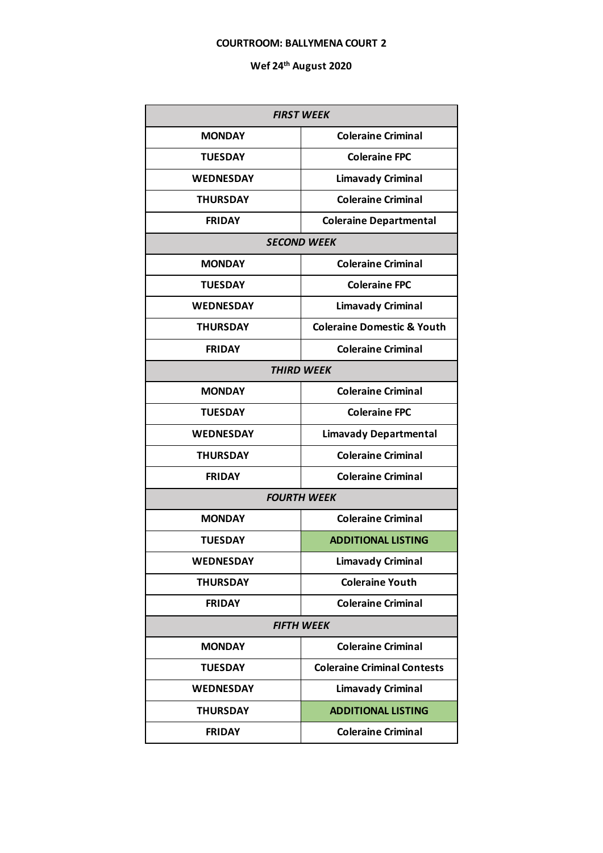#### **COURTROOM: BALLYMENA COURT 2**

| <b>FIRST WEEK</b>  |                                       |  |
|--------------------|---------------------------------------|--|
| <b>MONDAY</b>      | <b>Coleraine Criminal</b>             |  |
| <b>TUESDAY</b>     | <b>Coleraine FPC</b>                  |  |
| <b>WEDNESDAY</b>   | <b>Limavady Criminal</b>              |  |
| <b>THURSDAY</b>    | <b>Coleraine Criminal</b>             |  |
| <b>FRIDAY</b>      | <b>Coleraine Departmental</b>         |  |
| <b>SECOND WEEK</b> |                                       |  |
| <b>MONDAY</b>      | <b>Coleraine Criminal</b>             |  |
| <b>TUESDAY</b>     | <b>Coleraine FPC</b>                  |  |
| <b>WEDNESDAY</b>   | <b>Limavady Criminal</b>              |  |
| <b>THURSDAY</b>    | <b>Coleraine Domestic &amp; Youth</b> |  |
| <b>FRIDAY</b>      | <b>Coleraine Criminal</b>             |  |
|                    | <b>THIRD WEEK</b>                     |  |
| <b>MONDAY</b>      | <b>Coleraine Criminal</b>             |  |
| <b>TUESDAY</b>     | <b>Coleraine FPC</b>                  |  |
| <b>WEDNESDAY</b>   | <b>Limavady Departmental</b>          |  |
| <b>THURSDAY</b>    | <b>Coleraine Criminal</b>             |  |
| <b>FRIDAY</b>      | <b>Coleraine Criminal</b>             |  |
|                    | <b>FOURTH WEEK</b>                    |  |
| <b>MONDAY</b>      | <b>Coleraine Criminal</b>             |  |
| <b>TUESDAY</b>     | <b>ADDITIONAL LISTING</b>             |  |
| <b>WEDNESDAY</b>   | <b>Limavady Criminal</b>              |  |
| <b>THURSDAY</b>    | <b>Coleraine Youth</b>                |  |
| <b>FRIDAY</b>      | <b>Coleraine Criminal</b>             |  |
| <b>FIFTH WEEK</b>  |                                       |  |
| <b>MONDAY</b>      | <b>Coleraine Criminal</b>             |  |
| <b>TUESDAY</b>     | <b>Coleraine Criminal Contests</b>    |  |
| <b>WEDNESDAY</b>   | <b>Limavady Criminal</b>              |  |
| <b>THURSDAY</b>    | <b>ADDITIONAL LISTING</b>             |  |
| <b>FRIDAY</b>      | <b>Coleraine Criminal</b>             |  |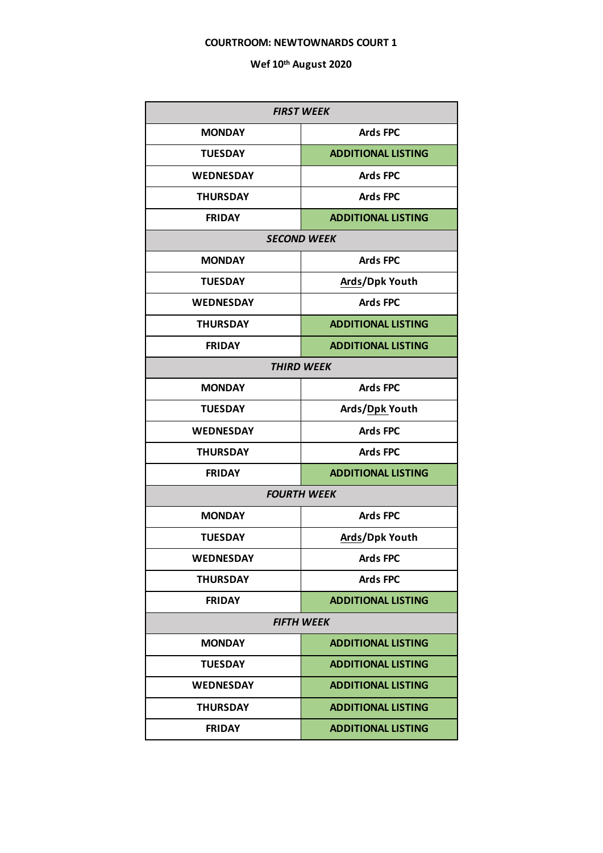### **COURTROOM: NEWTOWNARDS COURT 1**

| <b>FIRST WEEK</b> |                           |  |
|-------------------|---------------------------|--|
| <b>MONDAY</b>     | <b>Ards FPC</b>           |  |
| <b>TUESDAY</b>    | <b>ADDITIONAL LISTING</b> |  |
| <b>WEDNESDAY</b>  | <b>Ards FPC</b>           |  |
| <b>THURSDAY</b>   | <b>Ards FPC</b>           |  |
| <b>FRIDAY</b>     | <b>ADDITIONAL LISTING</b> |  |
|                   | <b>SECOND WEEK</b>        |  |
| <b>MONDAY</b>     | <b>Ards FPC</b>           |  |
| <b>TUESDAY</b>    | Ards/Dpk Youth            |  |
| <b>WEDNESDAY</b>  | <b>Ards FPC</b>           |  |
| <b>THURSDAY</b>   | <b>ADDITIONAL LISTING</b> |  |
| <b>FRIDAY</b>     | <b>ADDITIONAL LISTING</b> |  |
| <b>THIRD WEEK</b> |                           |  |
| <b>MONDAY</b>     | <b>Ards FPC</b>           |  |
| <b>TUESDAY</b>    | Ards/Dpk Youth            |  |
| <b>WEDNESDAY</b>  | <b>Ards FPC</b>           |  |
| <b>THURSDAY</b>   | <b>Ards FPC</b>           |  |
| <b>FRIDAY</b>     | <b>ADDITIONAL LISTING</b> |  |
|                   | <b>FOURTH WEEK</b>        |  |
| <b>MONDAY</b>     | <b>Ards FPC</b>           |  |
| <b>TUESDAY</b>    | Ards/Dpk Youth            |  |
| <b>WEDNESDAY</b>  | <b>Ards FPC</b>           |  |
| <b>THURSDAY</b>   | <b>Ards FPC</b>           |  |
| <b>FRIDAY</b>     | <b>ADDITIONAL LISTING</b> |  |
| <b>FIFTH WEEK</b> |                           |  |
| <b>MONDAY</b>     | <b>ADDITIONAL LISTING</b> |  |
| <b>TUESDAY</b>    | <b>ADDITIONAL LISTING</b> |  |
| <b>WEDNESDAY</b>  | <b>ADDITIONAL LISTING</b> |  |
| <b>THURSDAY</b>   | <b>ADDITIONAL LISTING</b> |  |
| <b>FRIDAY</b>     | <b>ADDITIONAL LISTING</b> |  |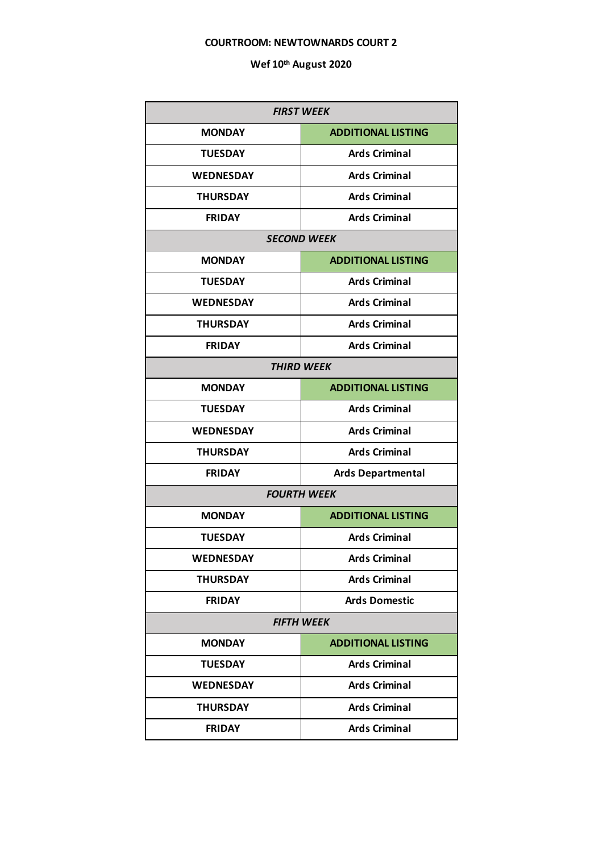### **COURTROOM: NEWTOWNARDS COURT 2**

| <b>FIRST WEEK</b>  |                           |  |
|--------------------|---------------------------|--|
| <b>MONDAY</b>      | <b>ADDITIONAL LISTING</b> |  |
| <b>TUESDAY</b>     | <b>Ards Criminal</b>      |  |
| <b>WEDNESDAY</b>   | <b>Ards Criminal</b>      |  |
| <b>THURSDAY</b>    | <b>Ards Criminal</b>      |  |
| <b>FRIDAY</b>      | <b>Ards Criminal</b>      |  |
| <b>SECOND WEEK</b> |                           |  |
| <b>MONDAY</b>      | <b>ADDITIONAL LISTING</b> |  |
| <b>TUESDAY</b>     | <b>Ards Criminal</b>      |  |
| <b>WEDNESDAY</b>   | <b>Ards Criminal</b>      |  |
| <b>THURSDAY</b>    | <b>Ards Criminal</b>      |  |
| <b>FRIDAY</b>      | <b>Ards Criminal</b>      |  |
| <b>THIRD WEEK</b>  |                           |  |
| <b>MONDAY</b>      | <b>ADDITIONAL LISTING</b> |  |
| <b>TUESDAY</b>     | <b>Ards Criminal</b>      |  |
| <b>WEDNESDAY</b>   | <b>Ards Criminal</b>      |  |
| <b>THURSDAY</b>    | <b>Ards Criminal</b>      |  |
| <b>FRIDAY</b>      | <b>Ards Departmental</b>  |  |
|                    | <b>FOURTH WEEK</b>        |  |
| <b>MONDAY</b>      | <b>ADDITIONAL LISTING</b> |  |
| <b>TUESDAY</b>     | <b>Ards Criminal</b>      |  |
| <b>WEDNESDAY</b>   | <b>Ards Criminal</b>      |  |
| <b>THURSDAY</b>    | <b>Ards Criminal</b>      |  |
| <b>FRIDAY</b>      | <b>Ards Domestic</b>      |  |
| <b>FIFTH WEEK</b>  |                           |  |
| <b>MONDAY</b>      | <b>ADDITIONAL LISTING</b> |  |
| <b>TUESDAY</b>     | <b>Ards Criminal</b>      |  |
| <b>WEDNESDAY</b>   | <b>Ards Criminal</b>      |  |
| <b>THURSDAY</b>    | <b>Ards Criminal</b>      |  |
| <b>FRIDAY</b>      | <b>Ards Criminal</b>      |  |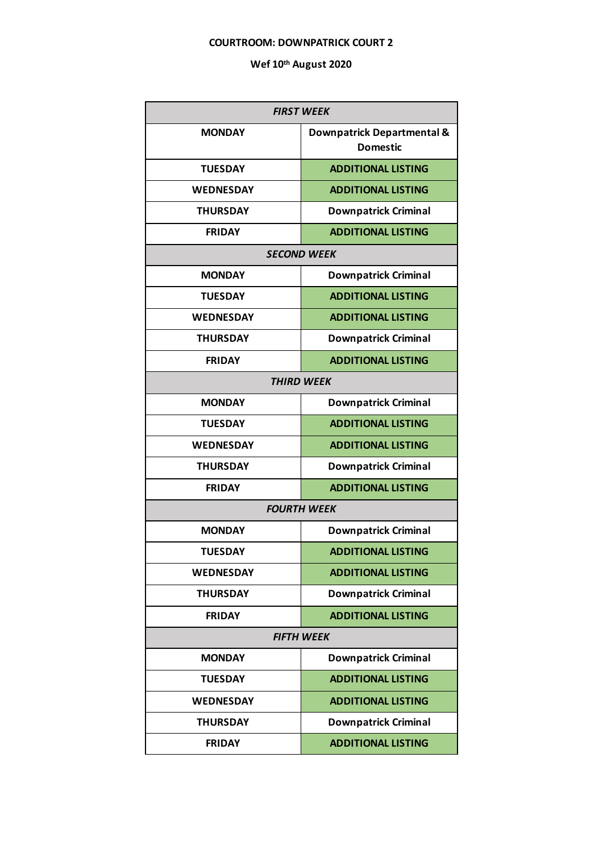### **COURTROOM: DOWNPATRICK COURT 2**

| <b>FIRST WEEK</b>  |                                               |  |  |
|--------------------|-----------------------------------------------|--|--|
| <b>MONDAY</b>      | Downpatrick Departmental &<br><b>Domestic</b> |  |  |
| <b>TUESDAY</b>     | <b>ADDITIONAL LISTING</b>                     |  |  |
| <b>WEDNESDAY</b>   | <b>ADDITIONAL LISTING</b>                     |  |  |
| <b>THURSDAY</b>    | <b>Downpatrick Criminal</b>                   |  |  |
| <b>FRIDAY</b>      | <b>ADDITIONAL LISTING</b>                     |  |  |
| <b>SECOND WEEK</b> |                                               |  |  |
| <b>MONDAY</b>      | <b>Downpatrick Criminal</b>                   |  |  |
| <b>TUESDAY</b>     | <b>ADDITIONAL LISTING</b>                     |  |  |
| <b>WEDNESDAY</b>   | <b>ADDITIONAL LISTING</b>                     |  |  |
| <b>THURSDAY</b>    | <b>Downpatrick Criminal</b>                   |  |  |
| <b>FRIDAY</b>      | <b>ADDITIONAL LISTING</b>                     |  |  |
|                    | <b>THIRD WEEK</b>                             |  |  |
| <b>MONDAY</b>      | <b>Downpatrick Criminal</b>                   |  |  |
| <b>TUESDAY</b>     | <b>ADDITIONAL LISTING</b>                     |  |  |
| <b>WEDNESDAY</b>   | <b>ADDITIONAL LISTING</b>                     |  |  |
| <b>THURSDAY</b>    | <b>Downpatrick Criminal</b>                   |  |  |
| <b>FRIDAY</b>      | <b>ADDITIONAL LISTING</b>                     |  |  |
|                    | <b>FOURTH WEEK</b>                            |  |  |
| <b>MONDAY</b>      | <b>Downpatrick Criminal</b>                   |  |  |
| <b>TUESDAY</b>     | <b>ADDITIONAL LISTING</b>                     |  |  |
| <b>WEDNESDAY</b>   | <b>ADDITIONAL LISTING</b>                     |  |  |
| <b>THURSDAY</b>    | <b>Downpatrick Criminal</b>                   |  |  |
| <b>FRIDAY</b>      | <b>ADDITIONAL LISTING</b>                     |  |  |
| <b>FIFTH WEEK</b>  |                                               |  |  |
| <b>MONDAY</b>      | <b>Downpatrick Criminal</b>                   |  |  |
| <b>TUESDAY</b>     | <b>ADDITIONAL LISTING</b>                     |  |  |
| <b>WEDNESDAY</b>   | <b>ADDITIONAL LISTING</b>                     |  |  |
| <b>THURSDAY</b>    | <b>Downpatrick Criminal</b>                   |  |  |
| <b>FRIDAY</b>      | <b>ADDITIONAL LISTING</b>                     |  |  |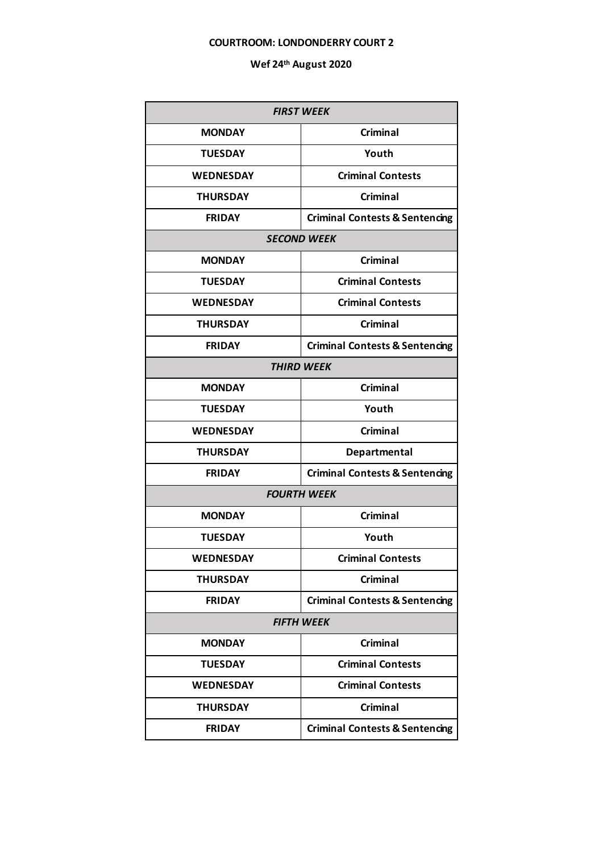### **COURTROOM: LONDONDERRY COURT 2**

| <b>FIRST WEEK</b>  |                                           |  |
|--------------------|-------------------------------------------|--|
| <b>MONDAY</b>      | <b>Criminal</b>                           |  |
| <b>TUESDAY</b>     | Youth                                     |  |
| <b>WEDNESDAY</b>   | <b>Criminal Contests</b>                  |  |
| <b>THURSDAY</b>    | <b>Criminal</b>                           |  |
| <b>FRIDAY</b>      | <b>Criminal Contests &amp; Sentencing</b> |  |
| <b>SECOND WEEK</b> |                                           |  |
| <b>MONDAY</b>      | <b>Criminal</b>                           |  |
| <b>TUESDAY</b>     | <b>Criminal Contests</b>                  |  |
| <b>WEDNESDAY</b>   | <b>Criminal Contests</b>                  |  |
| <b>THURSDAY</b>    | <b>Criminal</b>                           |  |
| <b>FRIDAY</b>      | <b>Criminal Contests &amp; Sentencing</b> |  |
| <b>THIRD WEEK</b>  |                                           |  |
| <b>MONDAY</b>      | <b>Criminal</b>                           |  |
| <b>TUESDAY</b>     | Youth                                     |  |
| <b>WEDNESDAY</b>   | <b>Criminal</b>                           |  |
| <b>THURSDAY</b>    | Departmental                              |  |
| <b>FRIDAY</b>      | <b>Criminal Contests &amp; Sentencing</b> |  |
|                    | <b>FOURTH WEEK</b>                        |  |
| <b>MONDAY</b>      | <b>Criminal</b>                           |  |
| <b>TUESDAY</b>     | Youth                                     |  |
| <b>WEDNESDAY</b>   | <b>Criminal Contests</b>                  |  |
| <b>THURSDAY</b>    | <b>Criminal</b>                           |  |
| <b>FRIDAY</b>      | <b>Criminal Contests &amp; Sentencing</b> |  |
| <b>FIFTH WEEK</b>  |                                           |  |
| <b>MONDAY</b>      | <b>Criminal</b>                           |  |
| <b>TUESDAY</b>     | <b>Criminal Contests</b>                  |  |
| <b>WEDNESDAY</b>   | <b>Criminal Contests</b>                  |  |
| <b>THURSDAY</b>    | <b>Criminal</b>                           |  |
| <b>FRIDAY</b>      | <b>Criminal Contests &amp; Sentencing</b> |  |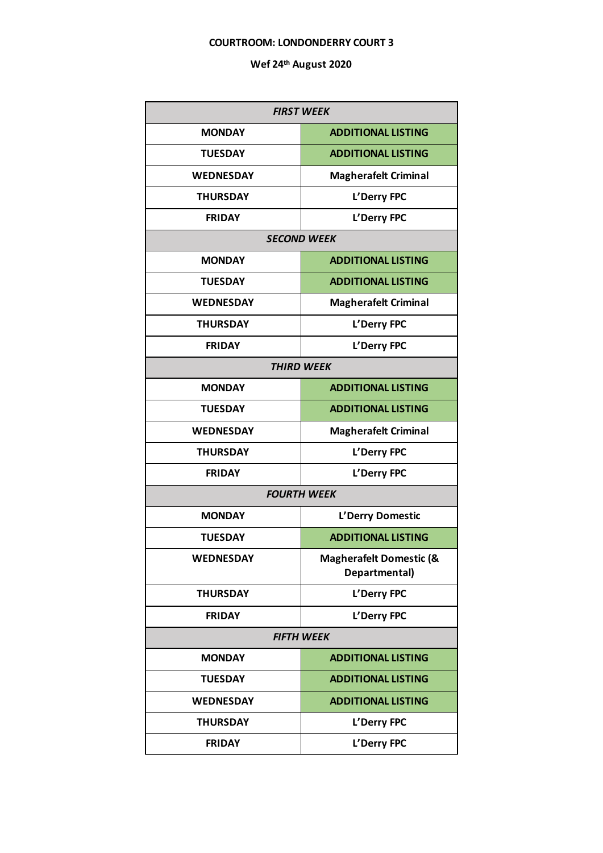### **COURTROOM: LONDONDERRY COURT 3**

| <b>FIRST WEEK</b>  |                                          |  |  |
|--------------------|------------------------------------------|--|--|
| <b>MONDAY</b>      | <b>ADDITIONAL LISTING</b>                |  |  |
| <b>TUESDAY</b>     | <b>ADDITIONAL LISTING</b>                |  |  |
| <b>WEDNESDAY</b>   | <b>Magherafelt Criminal</b>              |  |  |
| <b>THURSDAY</b>    | L'Derry FPC                              |  |  |
| <b>FRIDAY</b>      | L'Derry FPC                              |  |  |
| <b>SECOND WEEK</b> |                                          |  |  |
| <b>MONDAY</b>      | <b>ADDITIONAL LISTING</b>                |  |  |
| <b>TUESDAY</b>     | <b>ADDITIONAL LISTING</b>                |  |  |
| <b>WEDNESDAY</b>   | <b>Magherafelt Criminal</b>              |  |  |
| <b>THURSDAY</b>    | L'Derry FPC                              |  |  |
| <b>FRIDAY</b>      | L'Derry FPC                              |  |  |
| <b>THIRD WEEK</b>  |                                          |  |  |
| <b>MONDAY</b>      | <b>ADDITIONAL LISTING</b>                |  |  |
| <b>TUESDAY</b>     | <b>ADDITIONAL LISTING</b>                |  |  |
| <b>WEDNESDAY</b>   | <b>Magherafelt Criminal</b>              |  |  |
| <b>THURSDAY</b>    | L'Derry FPC                              |  |  |
| <b>FRIDAY</b>      | L'Derry FPC                              |  |  |
|                    | <b>FOURTH WEEK</b>                       |  |  |
| <b>MONDAY</b>      | L'Derry Domestic                         |  |  |
| <b>TUESDAY</b>     | <b>ADDITIONAL LISTING</b>                |  |  |
| <b>WEDNESDAY</b>   | Magherafelt Domestic (&<br>Departmental) |  |  |
| <b>THURSDAY</b>    | L'Derry FPC                              |  |  |
| <b>FRIDAY</b>      | L'Derry FPC                              |  |  |
|                    | <b>FIFTH WEEK</b>                        |  |  |
| <b>MONDAY</b>      | <b>ADDITIONAL LISTING</b>                |  |  |
| <b>TUESDAY</b>     | <b>ADDITIONAL LISTING</b>                |  |  |
| <b>WEDNESDAY</b>   | <b>ADDITIONAL LISTING</b>                |  |  |
| <b>THURSDAY</b>    | L'Derry FPC                              |  |  |
| <b>FRIDAY</b>      | L'Derry FPC                              |  |  |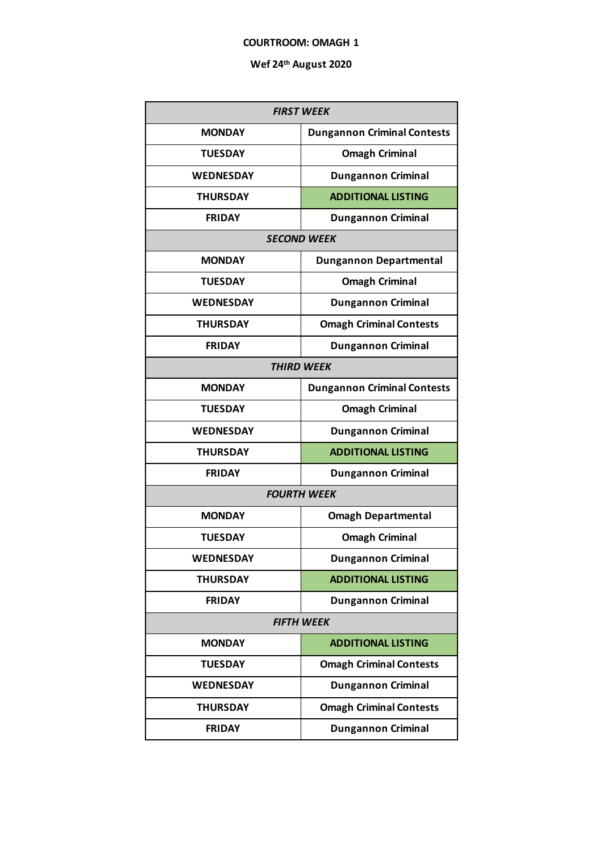### **COURTROOM: OMAGH 1**

| <b>FIRST WEEK</b>  |                                    |  |
|--------------------|------------------------------------|--|
| <b>MONDAY</b>      | <b>Dungannon Criminal Contests</b> |  |
| <b>TUESDAY</b>     | <b>Omagh Criminal</b>              |  |
| <b>WEDNESDAY</b>   | <b>Dungannon Criminal</b>          |  |
| <b>THURSDAY</b>    | <b>ADDITIONAL LISTING</b>          |  |
| <b>FRIDAY</b>      | <b>Dungannon Criminal</b>          |  |
| <b>SECOND WEEK</b> |                                    |  |
| <b>MONDAY</b>      | <b>Dungannon Departmental</b>      |  |
| <b>TUESDAY</b>     | <b>Omagh Criminal</b>              |  |
| <b>WEDNESDAY</b>   | <b>Dungannon Criminal</b>          |  |
| <b>THURSDAY</b>    | <b>Omagh Criminal Contests</b>     |  |
| <b>FRIDAY</b>      | <b>Dungannon Criminal</b>          |  |
| <b>THIRD WEEK</b>  |                                    |  |
| <b>MONDAY</b>      | <b>Dungannon Criminal Contests</b> |  |
| <b>TUESDAY</b>     | <b>Omagh Criminal</b>              |  |
| <b>WEDNESDAY</b>   | <b>Dungannon Criminal</b>          |  |
| <b>THURSDAY</b>    | <b>ADDITIONAL LISTING</b>          |  |
| <b>FRIDAY</b>      | <b>Dungannon Criminal</b>          |  |
|                    | <b>FOURTH WEEK</b>                 |  |
| <b>MONDAY</b>      | <b>Omagh Departmental</b>          |  |
| <b>TUESDAY</b>     | <b>Omagh Criminal</b>              |  |
| WEDNESDAY          | <b>Dungannon Criminal</b>          |  |
| <b>THURSDAY</b>    | <b>ADDITIONAL LISTING</b>          |  |
| <b>FRIDAY</b>      | <b>Dungannon Criminal</b>          |  |
| <b>FIFTH WEEK</b>  |                                    |  |
| <b>MONDAY</b>      | <b>ADDITIONAL LISTING</b>          |  |
| <b>TUESDAY</b>     | <b>Omagh Criminal Contests</b>     |  |
| <b>WEDNESDAY</b>   | <b>Dungannon Criminal</b>          |  |
| <b>THURSDAY</b>    | <b>Omagh Criminal Contests</b>     |  |
| <b>FRIDAY</b>      | <b>Dungannon Criminal</b>          |  |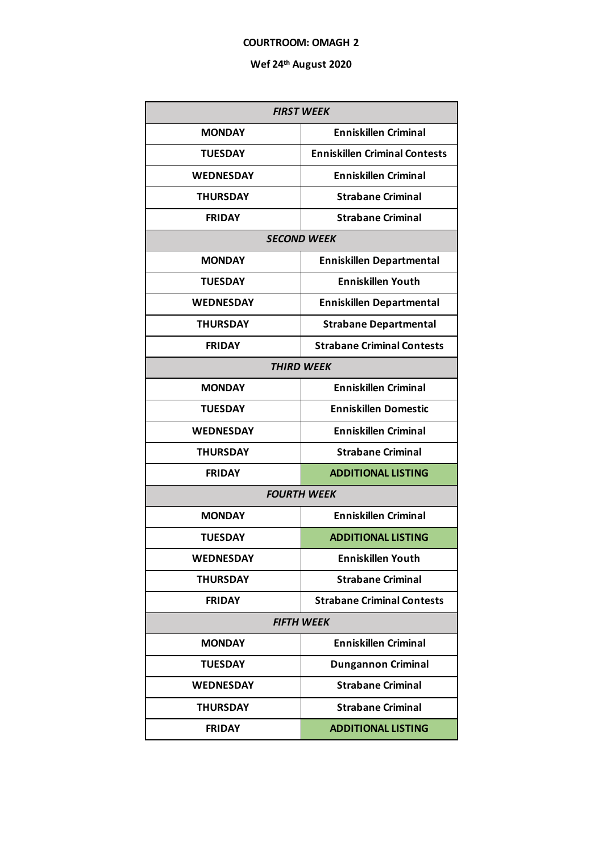### **COURTROOM: OMAGH 2**

| <b>FIRST WEEK</b> |                                      |  |  |
|-------------------|--------------------------------------|--|--|
| <b>MONDAY</b>     | <b>Enniskillen Criminal</b>          |  |  |
| <b>TUESDAY</b>    | <b>Enniskillen Criminal Contests</b> |  |  |
| <b>WEDNESDAY</b>  | <b>Enniskillen Criminal</b>          |  |  |
| <b>THURSDAY</b>   | <b>Strabane Criminal</b>             |  |  |
| <b>FRIDAY</b>     | <b>Strabane Criminal</b>             |  |  |
|                   | <b>SECOND WEEK</b>                   |  |  |
| <b>MONDAY</b>     | <b>Enniskillen Departmental</b>      |  |  |
| <b>TUESDAY</b>    | <b>Enniskillen Youth</b>             |  |  |
| <b>WEDNESDAY</b>  | <b>Enniskillen Departmental</b>      |  |  |
| <b>THURSDAY</b>   | <b>Strabane Departmental</b>         |  |  |
| <b>FRIDAY</b>     | <b>Strabane Criminal Contests</b>    |  |  |
| <b>THIRD WEEK</b> |                                      |  |  |
| <b>MONDAY</b>     | <b>Enniskillen Criminal</b>          |  |  |
| <b>TUESDAY</b>    | <b>Enniskillen Domestic</b>          |  |  |
| <b>WEDNESDAY</b>  | <b>Enniskillen Criminal</b>          |  |  |
| <b>THURSDAY</b>   | <b>Strabane Criminal</b>             |  |  |
| <b>FRIDAY</b>     | <b>ADDITIONAL LISTING</b>            |  |  |
|                   | <b>FOURTH WEEK</b>                   |  |  |
| <b>MONDAY</b>     | <b>Enniskillen Criminal</b>          |  |  |
| <b>TUESDAY</b>    | <b>ADDITIONAL LISTING</b>            |  |  |
| <b>WEDNESDAY</b>  | <b>Enniskillen Youth</b>             |  |  |
| <b>THURSDAY</b>   | <b>Strabane Criminal</b>             |  |  |
| <b>FRIDAY</b>     | <b>Strabane Criminal Contests</b>    |  |  |
| <b>FIFTH WEEK</b> |                                      |  |  |
| <b>MONDAY</b>     | <b>Enniskillen Criminal</b>          |  |  |
| <b>TUESDAY</b>    | <b>Dungannon Criminal</b>            |  |  |
| <b>WEDNESDAY</b>  | <b>Strabane Criminal</b>             |  |  |
| <b>THURSDAY</b>   | <b>Strabane Criminal</b>             |  |  |
| <b>FRIDAY</b>     | <b>ADDITIONAL LISTING</b>            |  |  |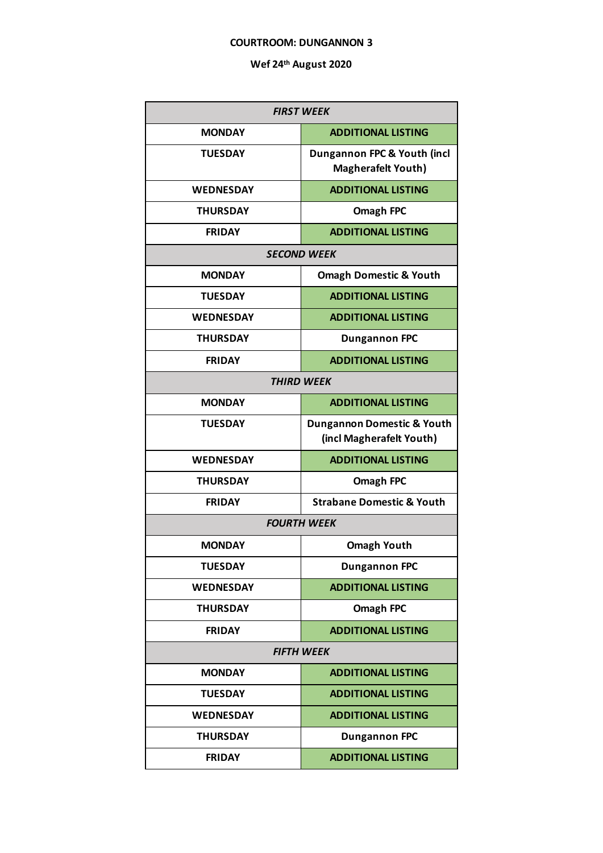#### **COURTROOM: DUNGANNON 3**

| <b>FIRST WEEK</b>  |                                                                   |  |
|--------------------|-------------------------------------------------------------------|--|
| <b>MONDAY</b>      | <b>ADDITIONAL LISTING</b>                                         |  |
| <b>TUESDAY</b>     | Dungannon FPC & Youth (incl<br><b>Magherafelt Youth)</b>          |  |
| <b>WEDNESDAY</b>   | <b>ADDITIONAL LISTING</b>                                         |  |
| <b>THURSDAY</b>    | <b>Omagh FPC</b>                                                  |  |
| <b>FRIDAY</b>      | <b>ADDITIONAL LISTING</b>                                         |  |
|                    | <b>SECOND WEEK</b>                                                |  |
| <b>MONDAY</b>      | <b>Omagh Domestic &amp; Youth</b>                                 |  |
| <b>TUESDAY</b>     | <b>ADDITIONAL LISTING</b>                                         |  |
| <b>WEDNESDAY</b>   | <b>ADDITIONAL LISTING</b>                                         |  |
| <b>THURSDAY</b>    | <b>Dungannon FPC</b>                                              |  |
| <b>FRIDAY</b>      | <b>ADDITIONAL LISTING</b>                                         |  |
| <b>THIRD WEEK</b>  |                                                                   |  |
| <b>MONDAY</b>      | <b>ADDITIONAL LISTING</b>                                         |  |
| <b>TUESDAY</b>     | <b>Dungannon Domestic &amp; Youth</b><br>(incl Magherafelt Youth) |  |
| <b>WEDNESDAY</b>   | <b>ADDITIONAL LISTING</b>                                         |  |
| <b>THURSDAY</b>    | <b>Omagh FPC</b>                                                  |  |
| <b>FRIDAY</b>      | <b>Strabane Domestic &amp; Youth</b>                              |  |
| <b>FOURTH WEEK</b> |                                                                   |  |
| <b>MONDAY</b>      | <b>Omagh Youth</b>                                                |  |
| <b>TUESDAY</b>     | <b>Dungannon FPC</b>                                              |  |
| <b>WEDNESDAY</b>   | <b>ADDITIONAL LISTING</b>                                         |  |
| <b>THURSDAY</b>    | <b>Omagh FPC</b>                                                  |  |
| <b>FRIDAY</b>      | <b>ADDITIONAL LISTING</b>                                         |  |
| <b>FIFTH WEEK</b>  |                                                                   |  |
| <b>MONDAY</b>      | <b>ADDITIONAL LISTING</b>                                         |  |
| <b>TUESDAY</b>     | <b>ADDITIONAL LISTING</b>                                         |  |
| <b>WEDNESDAY</b>   | <b>ADDITIONAL LISTING</b>                                         |  |
| <b>THURSDAY</b>    | <b>Dungannon FPC</b>                                              |  |
| <b>FRIDAY</b>      | <b>ADDITIONAL LISTING</b>                                         |  |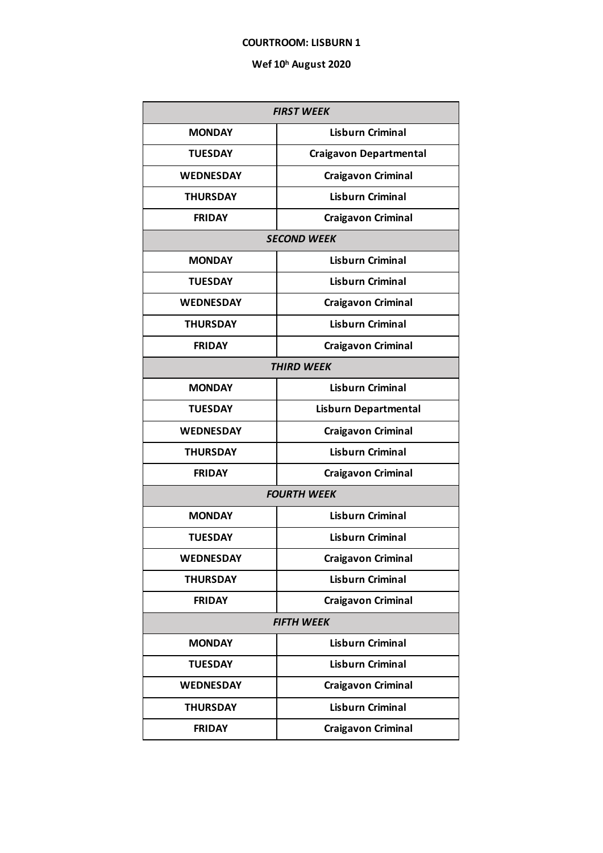### **COURTROOM: LISBURN 1**

| <b>FIRST WEEK</b> |                               |  |
|-------------------|-------------------------------|--|
| <b>MONDAY</b>     | <b>Lisburn Criminal</b>       |  |
| <b>TUESDAY</b>    | <b>Craigavon Departmental</b> |  |
| <b>WEDNESDAY</b>  | <b>Craigavon Criminal</b>     |  |
| <b>THURSDAY</b>   | <b>Lisburn Criminal</b>       |  |
| <b>FRIDAY</b>     | <b>Craigavon Criminal</b>     |  |
|                   | <b>SECOND WEEK</b>            |  |
| <b>MONDAY</b>     | <b>Lisburn Criminal</b>       |  |
| <b>TUESDAY</b>    | <b>Lisburn Criminal</b>       |  |
| <b>WEDNESDAY</b>  | <b>Craigavon Criminal</b>     |  |
| <b>THURSDAY</b>   | <b>Lisburn Criminal</b>       |  |
| <b>FRIDAY</b>     | <b>Craigavon Criminal</b>     |  |
| <b>THIRD WEEK</b> |                               |  |
| <b>MONDAY</b>     | <b>Lisburn Criminal</b>       |  |
| <b>TUESDAY</b>    | <b>Lisburn Departmental</b>   |  |
| <b>WEDNESDAY</b>  | <b>Craigavon Criminal</b>     |  |
| <b>THURSDAY</b>   | <b>Lisburn Criminal</b>       |  |
| <b>FRIDAY</b>     | <b>Craigavon Criminal</b>     |  |
|                   | <b>FOURTH WEEK</b>            |  |
| <b>MONDAY</b>     | <b>Lisburn Criminal</b>       |  |
| <b>TUESDAY</b>    | <b>Lisburn Criminal</b>       |  |
| <b>WEDNESDAY</b>  | <b>Craigavon Criminal</b>     |  |
| <b>THURSDAY</b>   | <b>Lisburn Criminal</b>       |  |
| <b>FRIDAY</b>     | <b>Craigavon Criminal</b>     |  |
| <b>FIFTH WEEK</b> |                               |  |
| <b>MONDAY</b>     | <b>Lisburn Criminal</b>       |  |
| <b>TUESDAY</b>    | <b>Lisburn Criminal</b>       |  |
| <b>WEDNESDAY</b>  | <b>Craigavon Criminal</b>     |  |
| <b>THURSDAY</b>   | <b>Lisburn Criminal</b>       |  |
| <b>FRIDAY</b>     | <b>Craigavon Criminal</b>     |  |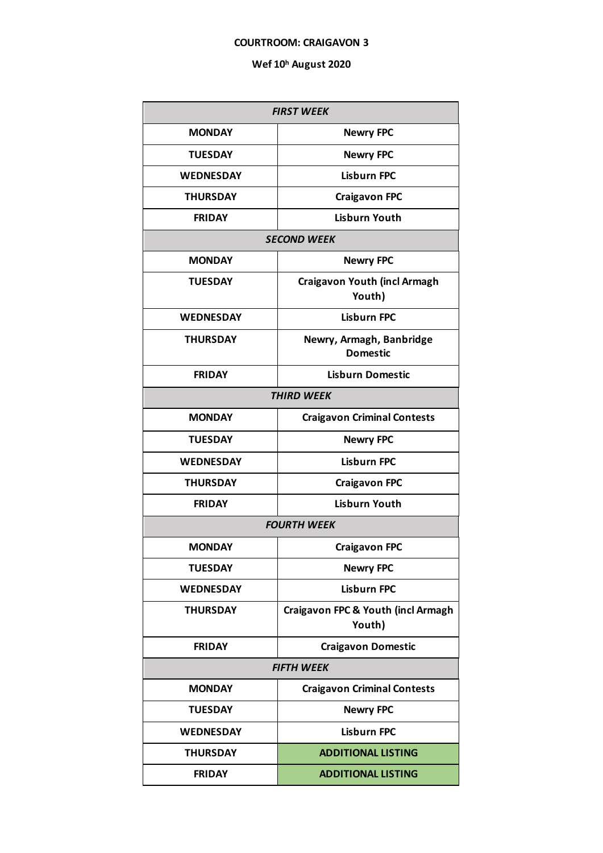### **COURTROOM: CRAIGAVON 3**

| <b>FIRST WEEK</b>  |                                               |  |
|--------------------|-----------------------------------------------|--|
| <b>MONDAY</b>      | <b>Newry FPC</b>                              |  |
| <b>TUESDAY</b>     | <b>Newry FPC</b>                              |  |
| <b>WEDNESDAY</b>   | <b>Lisburn FPC</b>                            |  |
| <b>THURSDAY</b>    | <b>Craigavon FPC</b>                          |  |
| <b>FRIDAY</b>      | <b>Lisburn Youth</b>                          |  |
| <b>SECOND WEEK</b> |                                               |  |
| <b>MONDAY</b>      | <b>Newry FPC</b>                              |  |
| <b>TUESDAY</b>     | <b>Craigavon Youth (incl Armagh</b><br>Youth) |  |
| <b>WEDNESDAY</b>   | <b>Lisburn FPC</b>                            |  |
| <b>THURSDAY</b>    | Newry, Armagh, Banbridge<br><b>Domestic</b>   |  |
| <b>FRIDAY</b>      | <b>Lisburn Domestic</b>                       |  |
|                    | <b>THIRD WEEK</b>                             |  |
| <b>MONDAY</b>      | <b>Craigavon Criminal Contests</b>            |  |
| <b>TUESDAY</b>     | <b>Newry FPC</b>                              |  |
| <b>WEDNESDAY</b>   | <b>Lisburn FPC</b>                            |  |
| <b>THURSDAY</b>    | <b>Craigavon FPC</b>                          |  |
| <b>FRIDAY</b>      | <b>Lisburn Youth</b>                          |  |
|                    | <b>FOURTH WEEK</b>                            |  |
| <b>MONDAY</b>      | <b>Craigavon FPC</b>                          |  |
| <b>TUESDAY</b>     | <b>Newry FPC</b>                              |  |
| <b>WEDNESDAY</b>   | <b>Lisburn FPC</b>                            |  |
| <b>THURSDAY</b>    | Craigavon FPC & Youth (incl Armagh<br>Youth)  |  |
| <b>FRIDAY</b>      | <b>Craigavon Domestic</b>                     |  |
| <b>FIFTH WEEK</b>  |                                               |  |
| <b>MONDAY</b>      | <b>Craigavon Criminal Contests</b>            |  |
| <b>TUESDAY</b>     | <b>Newry FPC</b>                              |  |
| <b>WEDNESDAY</b>   | <b>Lisburn FPC</b>                            |  |
| <b>THURSDAY</b>    | <b>ADDITIONAL LISTING</b>                     |  |
| <b>FRIDAY</b>      | <b>ADDITIONAL LISTING</b>                     |  |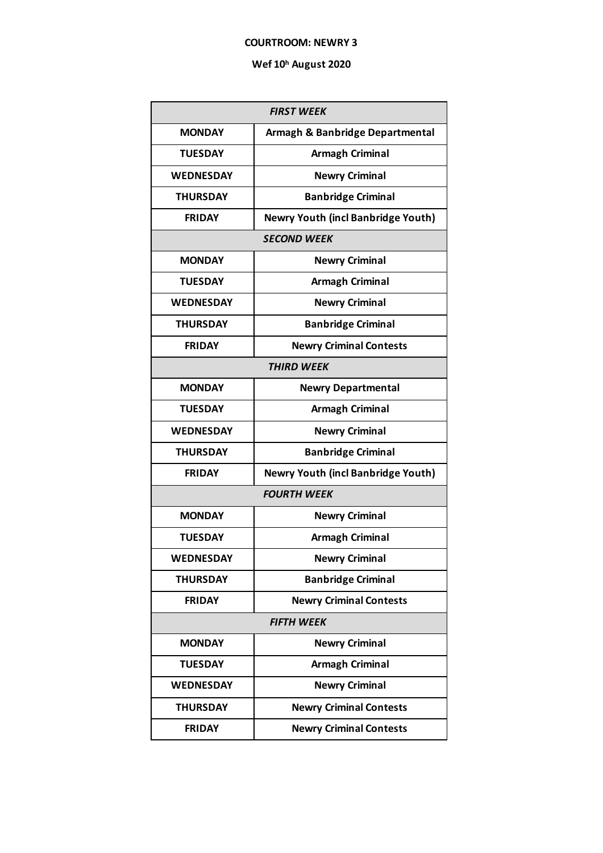### **COURTROOM: NEWRY 3**

| <b>FIRST WEEK</b>  |                                           |  |  |
|--------------------|-------------------------------------------|--|--|
| <b>MONDAY</b>      | Armagh & Banbridge Departmental           |  |  |
| <b>TUESDAY</b>     | <b>Armagh Criminal</b>                    |  |  |
| <b>WEDNESDAY</b>   | <b>Newry Criminal</b>                     |  |  |
| <b>THURSDAY</b>    | <b>Banbridge Criminal</b>                 |  |  |
| <b>FRIDAY</b>      | <b>Newry Youth (incl Banbridge Youth)</b> |  |  |
| <b>SECOND WEEK</b> |                                           |  |  |
| <b>MONDAY</b>      | <b>Newry Criminal</b>                     |  |  |
| <b>TUESDAY</b>     | <b>Armagh Criminal</b>                    |  |  |
| <b>WEDNESDAY</b>   | <b>Newry Criminal</b>                     |  |  |
| <b>THURSDAY</b>    | <b>Banbridge Criminal</b>                 |  |  |
| <b>FRIDAY</b>      | <b>Newry Criminal Contests</b>            |  |  |
| <b>THIRD WEEK</b>  |                                           |  |  |
| <b>MONDAY</b>      | <b>Newry Departmental</b>                 |  |  |
| <b>TUESDAY</b>     | <b>Armagh Criminal</b>                    |  |  |
| <b>WEDNESDAY</b>   | <b>Newry Criminal</b>                     |  |  |
| <b>THURSDAY</b>    | <b>Banbridge Criminal</b>                 |  |  |
| <b>FRIDAY</b>      | <b>Newry Youth (incl Banbridge Youth)</b> |  |  |
| <b>FOURTH WEEK</b> |                                           |  |  |
| <b>MONDAY</b>      | <b>Newry Criminal</b>                     |  |  |
| <b>TUESDAY</b>     | <b>Armagh Criminal</b>                    |  |  |
| WEDNESDAY          | <b>Newry Criminal</b>                     |  |  |
| <b>THURSDAY</b>    | <b>Banbridge Criminal</b>                 |  |  |
| <b>FRIDAY</b>      | <b>Newry Criminal Contests</b>            |  |  |
| <b>FIFTH WEEK</b>  |                                           |  |  |
| <b>MONDAY</b>      | <b>Newry Criminal</b>                     |  |  |
| <b>TUESDAY</b>     | <b>Armagh Criminal</b>                    |  |  |
| <b>WEDNESDAY</b>   | <b>Newry Criminal</b>                     |  |  |
| <b>THURSDAY</b>    | <b>Newry Criminal Contests</b>            |  |  |
| <b>FRIDAY</b>      | <b>Newry Criminal Contests</b>            |  |  |